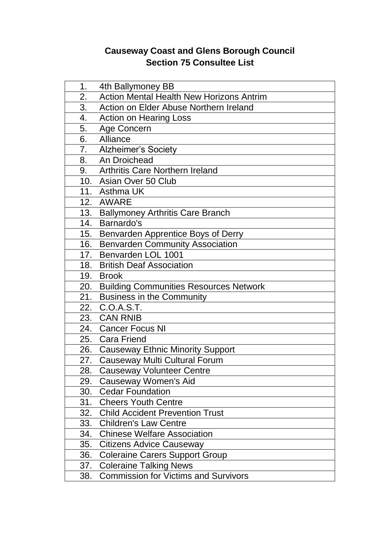## **Causeway Coast and Glens Borough Council Section 75 Consultee List**

| 1.  | 4th Ballymoney BB                               |
|-----|-------------------------------------------------|
| 2.  | <b>Action Mental Health New Horizons Antrim</b> |
| 3.  | Action on Elder Abuse Northern Ireland          |
| 4.  | <b>Action on Hearing Loss</b>                   |
| 5.  | Age Concern                                     |
| 6.  | Alliance                                        |
| 7.  | <b>Alzheimer's Society</b>                      |
| 8.  | An Droichead                                    |
| 9.  | <b>Arthritis Care Northern Ireland</b>          |
|     | 10. Asian Over 50 Club                          |
|     | 11. Asthma UK                                   |
|     | 12. AWARE                                       |
| 13. | <b>Ballymoney Arthritis Care Branch</b>         |
| 14. | Barnardo's                                      |
| 15. | Benvarden Apprentice Boys of Derry              |
| 16. | <b>Benvarden Community Association</b>          |
| 17. | Benvarden LOL 1001                              |
| 18. | <b>British Deaf Association</b>                 |
|     | 19. Brook                                       |
| 20. | <b>Building Communities Resources Network</b>   |
| 21. | <b>Business in the Community</b>                |
| 22. | C.O.A.S.T.                                      |
|     | 23. CAN RNIB                                    |
|     | 24. Cancer Focus NI                             |
| 25. | <b>Cara Friend</b>                              |
|     | 26. Causeway Ethnic Minority Support            |
| 27. | <b>Causeway Multi Cultural Forum</b>            |
| 28. | <b>Causeway Volunteer Centre</b>                |
| 29. | <b>Causeway Women's Aid</b>                     |
| 30. | <b>Cedar Foundation</b>                         |
| 31. | <b>Cheers Youth Centre</b>                      |
| 32. | <b>Child Accident Prevention Trust</b>          |
| 33. | <b>Children's Law Centre</b>                    |
| 34. | <b>Chinese Welfare Association</b>              |
| 35. | <b>Citizens Advice Causeway</b>                 |
| 36. | <b>Coleraine Carers Support Group</b>           |
| 37. | <b>Coleraine Talking News</b>                   |
| 38. | <b>Commission for Victims and Survivors</b>     |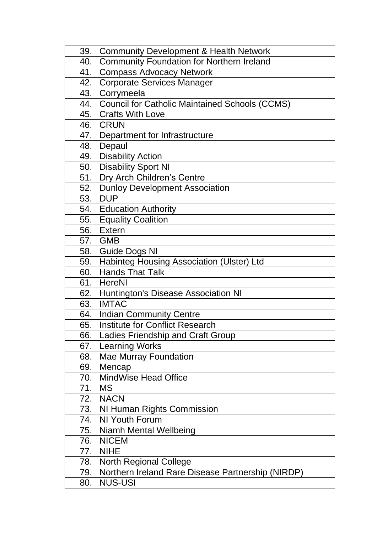| 39. | <b>Community Development &amp; Health Network</b>     |
|-----|-------------------------------------------------------|
| 40. | <b>Community Foundation for Northern Ireland</b>      |
| 41. | <b>Compass Advocacy Network</b>                       |
| 42. | <b>Corporate Services Manager</b>                     |
| 43. | Corrymeela                                            |
| 44. | <b>Council for Catholic Maintained Schools (CCMS)</b> |
| 45. | <b>Crafts With Love</b>                               |
| 46. | <b>CRUN</b>                                           |
| 47. | Department for Infrastructure                         |
| 48. | Depaul                                                |
| 49. | <b>Disability Action</b>                              |
| 50. | <b>Disability Sport NI</b>                            |
| 51. | Dry Arch Children's Centre                            |
| 52. | <b>Dunloy Development Association</b>                 |
| 53. | <b>DUP</b>                                            |
| 54. | <b>Education Authority</b>                            |
| 55. | <b>Equality Coalition</b>                             |
| 56. | <b>Extern</b>                                         |
|     | 57. GMB                                               |
|     | 58. Guide Dogs NI                                     |
| 59. | Habinteg Housing Association (Ulster) Ltd             |
| 60. | <b>Hands That Talk</b>                                |
| 61. | <b>HereNI</b>                                         |
| 62. | Huntington's Disease Association NI                   |
| 63. | <b>IMTAC</b>                                          |
| 64. | <b>Indian Community Centre</b>                        |
| 65. | <b>Institute for Conflict Research</b>                |
| 66. | Ladies Friendship and Craft Group                     |
| 67. | <b>Learning Works</b>                                 |
| 68. | <b>Mae Murray Foundation</b>                          |
| 69. | Mencap                                                |
| 70. | <b>MindWise Head Office</b>                           |
| 71. | <b>MS</b>                                             |
| 72. | <b>NACN</b>                                           |
| 73. | NI Human Rights Commission                            |
| 74. | NI Youth Forum                                        |
| 75. | Niamh Mental Wellbeing                                |
| 76. | <b>NICEM</b>                                          |
| 77. | <b>NIHE</b>                                           |
| 78. | <b>North Regional College</b>                         |
| 79. | Northern Ireland Rare Disease Partnership (NIRDP)     |
| 80. | <b>NUS-USI</b>                                        |